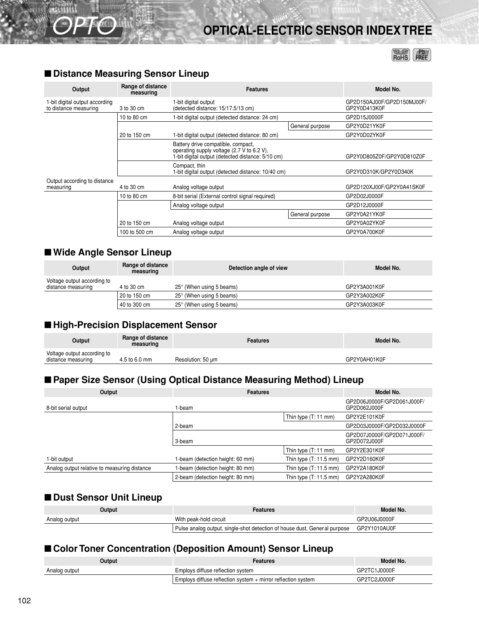# **OPTICAL-ELECTRIC SENSOR INDEX TREE**

 $RoHS$   $RBE$ 

| Output                                                  | Range of distance<br>measuring | <b>Features</b>                                                                                                                      | Model No.                 |                                            |  |  |
|---------------------------------------------------------|--------------------------------|--------------------------------------------------------------------------------------------------------------------------------------|---------------------------|--------------------------------------------|--|--|
| 1-bit digital output according<br>to distance measuring | 3 to 30 cm                     | 1-bit digital output<br>(detected distance: 15/17.5/13 cm)                                                                           |                           | GP2D150AJ00F/GP2D150MJ00F/<br>GP2Y0D413K0F |  |  |
|                                                         | 10 to 80 cm                    | I-bit digital output (detected distance: 24 cm)                                                                                      |                           | GP2D15J0000F                               |  |  |
|                                                         |                                |                                                                                                                                      | General purpose           | GP2Y0D21YK0F                               |  |  |
|                                                         | 20 to 150 cm                   | 1-bit digital output (detected distance: 80 cm)                                                                                      |                           | GP2Y0D02YK0F                               |  |  |
|                                                         |                                | Battery drive compatible, compact,<br>operating supply voltage (2.7 V to 6.2 V),<br>-bit digital output (detected distance: 5/10 cm) | GP2Y0D805Z0F/GP2Y0D810Z0F |                                            |  |  |
|                                                         |                                | GP2Y0D310K/GP2Y0D340K                                                                                                                |                           |                                            |  |  |
| Output according to distance                            |                                |                                                                                                                                      |                           |                                            |  |  |
| measuring                                               | 4 to 30 cm                     | Analog voltage output                                                                                                                |                           | GP2D120XJ00F/GP2Y0A41SK0F                  |  |  |
|                                                         | 10 to 80 cm                    | 8-bit serial (External control signal required)                                                                                      |                           | GP2D02J0000F                               |  |  |
|                                                         |                                | Analog voltage output                                                                                                                |                           | GP2D12J0000F                               |  |  |
|                                                         |                                |                                                                                                                                      | General purpose           | GP2Y0A21YK0F                               |  |  |
|                                                         | 20 to 150 cm                   | Analog voltage output                                                                                                                |                           | GP2Y0A02YK0F                               |  |  |
|                                                         | 100 to 500 cm                  | Analog voltage output                                                                                                                |                           | GP2Y0A700K0F                               |  |  |

#### ■ **Distance Measuring Sensor Lineup**

OPTO

## ■ Wide Angle Sensor Lineup

| Output                                            | Range of distance<br>measuring | Detection angle of view           | Model No.    |
|---------------------------------------------------|--------------------------------|-----------------------------------|--------------|
| Voltage output according to<br>distance measuring | 4 to 30 cm                     | $25^{\circ}$ (When using 5 beams) | GP2Y3A001K0F |
|                                                   | 20 to 150 cm                   | $25^{\circ}$ (When using 5 beams) | GP2Y3A002K0F |
|                                                   | 40 to 300 cm                   | $25^{\circ}$ (When using 5 beams) | GP2Y3A003K0F |

### ■ **High-Precision Displacement Sensor**

| Output                                            | Range of distance<br>measuring | <b>Features</b>   | Model No.    |
|---------------------------------------------------|--------------------------------|-------------------|--------------|
| Voltage output according to<br>distance measuring | 4.5 to 6.0 mm                  | Resolution: 50 um | GP2Y0AH01K0F |

## ■ Paper Size Sensor (Using Optical Distance Measuring Method) Lineup

| Output                                       | <b>Features</b>                  | Model No.                                  |                                            |  |
|----------------------------------------------|----------------------------------|--------------------------------------------|--------------------------------------------|--|
| 8-bit serial output                          | 1-beam                           |                                            | GP2D06J0000F/GP2D061J000F/<br>GP2D062J000F |  |
|                                              |                                  | Thin type $(T: 11$ mm)                     | GP2Y2E101K0F                               |  |
|                                              | 2-beam                           |                                            | GP2D03J0000F/GP2D032J0000F                 |  |
| 3-beam                                       |                                  | GP2D07J0000F/GP2D071J000F/<br>GP2D072J000F |                                            |  |
|                                              |                                  | Thin type $(T: 11$ mm)                     | GP2Y2E301K0F                               |  |
| 1-bit output                                 | 1-beam (detection height: 60 mm) | Thin type $(T: 11.5$ mm)                   | GP2Y2D160K0F                               |  |
| Analog output relative to measuring distance | I-beam (detection height: 80 mm) | Thin type $(T: 11.5$ mm)                   | GP2Y2A180K0F                               |  |
|                                              | 2-beam (detection height: 80 mm) | Thin type $(T: 11.5$ mm)                   | GP2Y2A280K0F                               |  |

### ■ **Dust Sensor Unit Lineup**

| Output        | Features                                                                                               | Model No.    |
|---------------|--------------------------------------------------------------------------------------------------------|--------------|
| Analog output | With peak-hold circuit                                                                                 | GP2U06J0000F |
|               | GP2Y1010AU0F<br><sup>1</sup> Pulse analog output, single-shot detection of house dust, General purpose |              |

## ■ Color Toner Concentration (Deposition Amount) Sensor Lineup

| Output        | Features                                                     | Model No.    |  |
|---------------|--------------------------------------------------------------|--------------|--|
| Analog output | GP2TC1J0000F<br>Employs diffuse reflection system            |              |  |
|               | Employs diffuse reflection system + mirror reflection system | GP2TC2J0000F |  |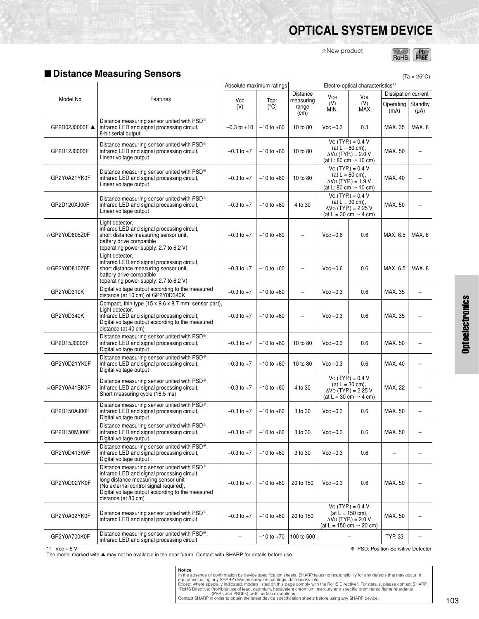# **OPTICAL SYSTEM DEVICE**

✩New product



 $(Ta = 25^{\circ}C)$ 

## <span id="page-1-0"></span>■ **Distance Measuring Sensors**

|                |                                                                                                                                                                                                                                                        |                 | Absolute maximum ratings |                            | Electro-optical characteristics*1 |                                                                                                                   |                     |                 |
|----------------|--------------------------------------------------------------------------------------------------------------------------------------------------------------------------------------------------------------------------------------------------------|-----------------|--------------------------|----------------------------|-----------------------------------|-------------------------------------------------------------------------------------------------------------------|---------------------|-----------------|
|                |                                                                                                                                                                                                                                                        |                 |                          | Distance                   | VOH                               | VOL                                                                                                               | Dissipation current |                 |
| Model No.      | Features                                                                                                                                                                                                                                               | Vcc<br>(V)      | Topr<br>$(^{\circ}C)$    | measuring<br>range<br>(cm) | (V)<br>MIN.                       | (V)<br>MAX.                                                                                                       | Operating<br>(mA)   | Standby<br>(µA) |
| GP2D02J0000F ▲ | Distance measuring sensor united with PSD*,<br>infrared LED and signal processing circuit,<br>8-bit serial output                                                                                                                                      | $-0.3$ to $+10$ | $-10$ to $+60$           | 10 to 80                   | $Vcc - 0.3$                       | 0.3                                                                                                               | MAX. 35             | MAX.8           |
| GP2D12J0000F   | Distance measuring sensor united with PSD*,<br>infrared LED and signal processing circuit,<br>Linear voltage output                                                                                                                                    | $-0.3$ to $+7$  | $-10$ to $+60$           | 10 to 80                   |                                   | $Vo(TYP) = 0.4 V$<br>$(at L = 80 cm),$<br>$\Delta \dot{V}$ O (TYP.) = 2.0 V<br>(at L: 80 cm $\rightarrow$ 10 cm)  | MAX. 50             |                 |
| GP2Y0A21YK0F   | Distance measuring sensor united with PSD*,<br>infrared LED and signal processing circuit,<br>Linear voltage output                                                                                                                                    | $-0.3$ to $+7$  | $-10$ to $+60$           | 10 to 80                   |                                   | $Vo(TYP) = 0.4 V$<br>$(at L = 80 cm)$ ,<br>$\Delta \dot{V}$ O (TYP.) = 1.9 V<br>(at L: 80 cm $\rightarrow$ 10 cm) | MAX. 40             |                 |
| GP2D120XJ00F   | Distance measuring sensor united with PSD*,<br>infrared LED and signal processing circuit,<br>Linear voltage output                                                                                                                                    | $-0.3$ to $+7$  | $-10$ to $+60$           | 4 to 30                    |                                   | $Vo(TYP) = 0.4 V$<br>$(at L = 30 cm)$ ,<br>$\Delta$ Vo (TYP.) = 2.25 V<br>$(at L = 30 cm \rightarrow 4 cm)$       | MAX. 50             |                 |
| ☆GP2Y0D805Z0F  | Light detector,<br>infrared LED and signal processing circuit,<br>short distance measuring sensor unit,<br>battery drive compatible<br>(operating power supply: 2.7 to 6.2 V)                                                                          | $-0.3$ to $+7$  | $-10$ to $+60$           | $\overline{\phantom{m}}$   | $Vcc -0.6$                        | 0.6                                                                                                               | MAX. 6.5            | MAX. 8          |
| ☆GP2Y0D810Z0F  | Light detector.<br>infrared LED and signal processing circuit,<br>short distance measuring sensor unit,<br>battery drive compatible<br>(operating power supply: 2.7 to 6.2 V)                                                                          | $-0.3$ to $+7$  | $-10$ to $+60$           |                            | $Vec-0.6$                         | 0.6                                                                                                               | MAX. 6.5            | MAX.8           |
| GP2Y0D310K     | Digital voltage output according to the measured<br>distance (at 10 cm) of GP2Y0D340K                                                                                                                                                                  | $-0.3$ to $+7$  | $-10$ to $+60$           | $\overline{\phantom{0}}$   | $Vcc - 0.3$                       | 0.6                                                                                                               | MAX. 35             |                 |
| GP2Y0D340K     | Compact, thin type $(15 \times 9.6 \times 8.7 \text{ mm})$ : sensor part),<br>Light detector,<br>infrared LED and signal processing circuit,<br>Digital voltage output according to the measured<br>distance (at 40 cm)                                | $-0.3$ to $+7$  | $-10$ to $+60$           | $\overline{\phantom{m}}$   | $Vec -0.3$                        | 0.6                                                                                                               | MAX. 35             |                 |
| GP2D15J0000F   | Distance measuring sensor united with PSD*,<br>infrared LED and signal processing circuit,<br>Digital voltage output                                                                                                                                   | $-0.3$ to $+7$  | $-10$ to $+60$           | 10 to 80                   | $Vcc - 0.3$                       | 0.6                                                                                                               | MAX. 50             |                 |
| GP2Y0D21YK0F   | Distance measuring sensor united with PSD*,<br>infrared LED and signal processing circuit,<br>Digital voltage output                                                                                                                                   | $-0.3$ to $+7$  | $-10$ to $+60$           | 10 to 80                   | $Vcc - 0.3$                       | 0.6                                                                                                               | MAX. 40             |                 |
| ☆GP2Y0A41SK0F  | Distance measuring sensor united with PSD*,<br>infrared LED and signal processing circuit,<br>Short measuring cycle (16.5 ms)                                                                                                                          | $-0.3$ to $+7$  | $-10$ to $+60$           | 4 to 30                    |                                   | $Vo$ (TYP.) = 0.4 V<br>$(at L = 30 cm)$ ,<br>$\Delta$ Vo (TYP.) = 2.25 V<br>$(at L = 30 cm \rightarrow 4 cm)$     | <b>MAX. 22</b>      |                 |
| GP2D150AJ00F   | Distance measuring sensor united with PSD*,<br>infrared LED and signal processing circuit.<br>Digital voltage output                                                                                                                                   | $-0.3$ to $+7$  | $-10$ to $+60$           | 3 to 30                    | $Vec -0.3$                        | 0.6                                                                                                               | MAX. 50             |                 |
| GP2D150MJ00F   | Distance measuring sensor united with PSD*.<br>infrared LED and signal processing circuit,<br>Digital voltage output                                                                                                                                   | $-0.3$ to $+7$  | $-10$ to $+60$           | 3 to 30                    | $Vcc - 0.3$                       | 0.6                                                                                                               | MAX. 50             |                 |
| GP2Y0D413K0F   | Distance measuring sensor united with PSD*,<br>infrared LED and signal processing circuit,<br>Digital voltage output                                                                                                                                   | $-0.3$ to $+7$  | $-10$ to $+60$           | 3 to 30                    | $Vec -0.3$                        | 0.6                                                                                                               |                     |                 |
| GP2Y0D02YK0F   | Distance measuring sensor united with PSD*,<br>infrared LED and signal processing circuit,<br>long distance measuring sensor unit<br>(No external control signal required),<br>Digital voltage output according to the measured<br>distance (at 80 cm) | $-0.3$ to $+7$  | $-10$ to $+60$           | 20 to 150                  | $Vcc -0.3$                        | 0.6                                                                                                               | MAX. 50             |                 |
| GP2Y0A02YK0F   | Distance measuring sensor united with PSD*,<br>infrared LED and signal processing circuit                                                                                                                                                              | $-0.3$ to $+7$  | $-10$ to $+60$           | 20 to 150                  |                                   | $Vo$ (TYP.) = 0.4 V<br>$(at L = 150 cm),$<br>$\Delta$ Vo (TYP.) = 2.0 V<br>$(at L = 150 cm \rightarrow 20 cm)$    | MAX. 50             |                 |
| GP2Y0A700K0F   | Distance measuring sensor united with PSD*,<br>infrared LED and signal processing circuit                                                                                                                                                              |                 | $-10$ to $+70$           | 100 to 500                 |                                   |                                                                                                                   | TYP. 33             |                 |

\*1 Vcc = 5 V ❇ PSD: Position Sensitive Detector The model marked with ▲ may not be available in the near future. Contact with SHARP for details before use.

**Notice**<br>
Notice absence of confirmation by device specification sheets, SHARP takes no responsibility for any defects that may occur in<br>
equipment using any SHARP devices shown in catalogs, data books, etc.<br>
Except where